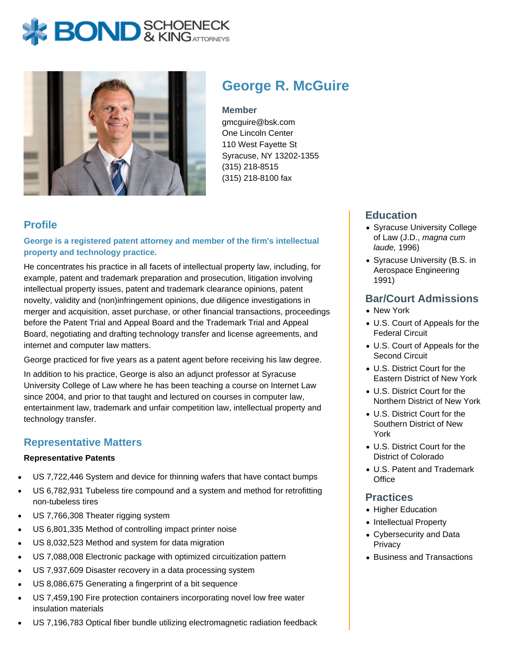# **BOND** & KINGATTORNECK



# **George R. McGuire**

#### **Member**

gmcguire@bsk.com One Lincoln Center 110 West Fayette St Syracuse, NY 13202-1355 (315) 218-8515 (315) 218-8100 fax

# **Profile**

**George is a registered patent attorney and member of the firm's intellectual property and technology practice.**

He concentrates his practice in all facets of intellectual property law, including, for example, patent and trademark preparation and prosecution, litigation involving intellectual property issues, patent and trademark clearance opinions, patent novelty, validity and (non)infringement opinions, due diligence investigations in merger and acquisition, asset purchase, or other financial transactions, proceedings before the Patent Trial and Appeal Board and the Trademark Trial and Appeal Board, negotiating and drafting technology transfer and license agreements, and internet and computer law matters.

George practiced for five years as a patent agent before receiving his law degree.

In addition to his practice, George is also an adjunct professor at Syracuse University College of Law where he has been teaching a course on Internet Law since 2004, and prior to that taught and lectured on courses in computer law, entertainment law, trademark and unfair competition law, intellectual property and technology transfer.

#### **Representative Matters**

#### **Representative Patents**

- US 7,722,446 System and device for thinning wafers that have contact bumps
- US 6,782,931 Tubeless tire compound and a system and method for retrofitting non-tubeless tires
- US 7,766,308 Theater rigging system
- US 6,801,335 Method of controlling impact printer noise
- US 8,032,523 Method and system for data migration
- US 7,088,008 Electronic package with optimized circuitization pattern
- US 7,937,609 Disaster recovery in a data processing system
- US 8,086,675 Generating a fingerprint of a bit sequence
- US 7,459,190 Fire protection containers incorporating novel low free water insulation materials
- US 7,196,783 Optical fiber bundle utilizing electromagnetic radiation feedback

# **Education**

- Syracuse University College of Law (J.D., magna cum laude, 1996)
- Syracuse University (B.S. in Aerospace Engineering 1991)

#### **Bar/Court Admissions**

- New York
- U.S. Court of Appeals for the Federal Circuit
- U.S. Court of Appeals for the Second Circuit
- U.S. District Court for the Eastern District of New York
- U.S. District Court for the Northern District of New York
- U.S. District Court for the Southern District of New York
- U.S. District Court for the District of Colorado
- U.S. Patent and Trademark **Office**

#### **Practices**

- Higher Education
- Intellectual Property
- Cybersecurity and Data **Privacy**
- Business and Transactions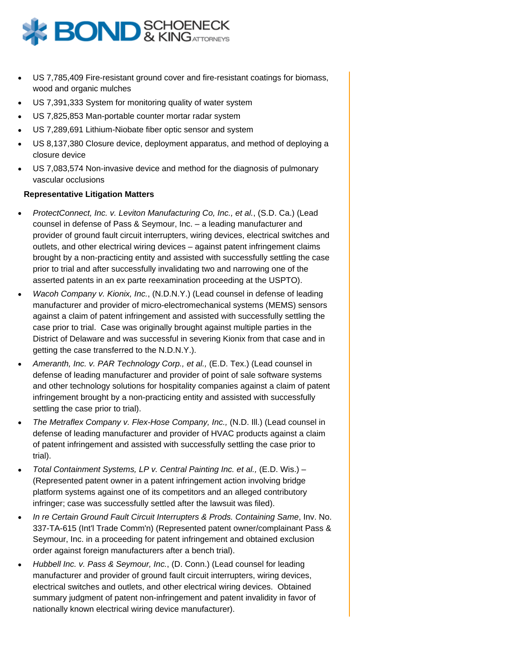

- US 7,785,409 Fire-resistant ground cover and fire-resistant coatings for biomass, wood and organic mulches
- US 7,391,333 System for monitoring quality of water system
- US 7,825,853 Man-portable counter mortar radar system
- US 7,289,691 Lithium-Niobate fiber optic sensor and system
- US 8,137,380 Closure device, deployment apparatus, and method of deploying a closure device
- US 7,083,574 Non-invasive device and method for the diagnosis of pulmonary vascular occlusions

#### **Representative Litigation Matters**

- ProtectConnect, Inc. v. Leviton Manufacturing Co, Inc., et al., (S.D. Ca.) (Lead counsel in defense of Pass & Seymour, Inc. – a leading manufacturer and provider of ground fault circuit interrupters, wiring devices, electrical switches and outlets, and other electrical wiring devices – against patent infringement claims brought by a non-practicing entity and assisted with successfully settling the case prior to trial and after successfully invalidating two and narrowing one of the asserted patents in an ex parte reexamination proceeding at the USPTO).
- Wacoh Company v. Kionix, Inc., (N.D.N.Y.) (Lead counsel in defense of leading manufacturer and provider of micro-electromechanical systems (MEMS) sensors against a claim of patent infringement and assisted with successfully settling the case prior to trial. Case was originally brought against multiple parties in the District of Delaware and was successful in severing Kionix from that case and in getting the case transferred to the N.D.N.Y.).
- Ameranth, Inc. v. PAR Technology Corp., et al., (E.D. Tex.) (Lead counsel in defense of leading manufacturer and provider of point of sale software systems and other technology solutions for hospitality companies against a claim of patent infringement brought by a non-practicing entity and assisted with successfully settling the case prior to trial).
- The Metraflex Company v. Flex-Hose Company, Inc., (N.D. Ill.) (Lead counsel in defense of leading manufacturer and provider of HVAC products against a claim of patent infringement and assisted with successfully settling the case prior to trial).
- Total Containment Systems, LP v. Central Painting Inc. et al., (E.D. Wis.) (Represented patent owner in a patent infringement action involving bridge platform systems against one of its competitors and an alleged contributory infringer; case was successfully settled after the lawsuit was filed).
- In re Certain Ground Fault Circuit Interrupters & Prods. Containing Same, Inv. No. 337-TA-615 (Int'l Trade Comm'n) (Represented patent owner/complainant Pass & Seymour, Inc. in a proceeding for patent infringement and obtained exclusion order against foreign manufacturers after a bench trial).
- Hubbell Inc. v. Pass & Seymour, Inc., (D. Conn.) (Lead counsel for leading manufacturer and provider of ground fault circuit interrupters, wiring devices, electrical switches and outlets, and other electrical wiring devices. Obtained summary judgment of patent non-infringement and patent invalidity in favor of nationally known electrical wiring device manufacturer).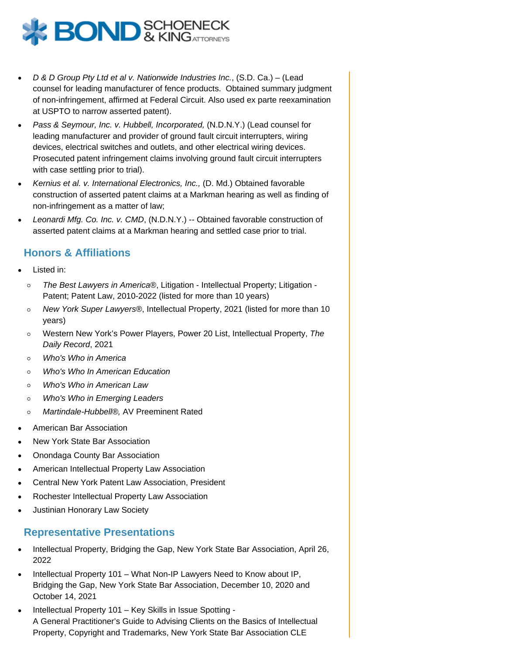

- D & D Group Pty Ltd et al v. Nationwide Industries Inc., (S.D. Ca.) (Lead counsel for leading manufacturer of fence products. Obtained summary judgment of non-infringement, affirmed at Federal Circuit. Also used ex parte reexamination at USPTO to narrow asserted patent).
- Pass & Seymour, Inc. v. Hubbell, Incorporated, (N.D.N.Y.) (Lead counsel for leading manufacturer and provider of ground fault circuit interrupters, wiring devices, electrical switches and outlets, and other electrical wiring devices. Prosecuted patent infringement claims involving ground fault circuit interrupters with case settling prior to trial).
- Kernius et al. v. International Electronics, Inc., (D. Md.) Obtained favorable construction of asserted patent claims at a Markman hearing as well as finding of non-infringement as a matter of law;
- Leonardi Mfg. Co. Inc. v. CMD, (N.D.N.Y.) -- Obtained favorable construction of asserted patent claims at a Markman hearing and settled case prior to trial.

### **Honors & Affiliations**

- Listed in:
	- $\circ$ The Best Lawyers in America®, Litigation - Intellectual Property; Litigation - Patent; Patent Law, 2010-2022 (listed for more than 10 years)
	- New York Super Lawyers®, Intellectual Property, 2021 (listed for more than 10  $\circ$ years)
	- Western New York's Power Players, Power 20 List, Intellectual Property, The  $\circ$ Daily Record, 2021
	- $\circ$ Who's Who in America
	- Who's Who In American Education  $\circ$
	- Who's Who in American Law  $\Omega$
	- $\circ$ Who's Who in Emerging Leaders
	- Martindale-Hubbell®, AV Preeminent Rated  $\circ$
- American Bar Association
- New York State Bar Association
- Onondaga County Bar Association
- American Intellectual Property Law Association
- Central New York Patent Law Association, President
- Rochester Intellectual Property Law Association
- Justinian Honorary Law Society

#### **Representative Presentations**

- Intellectual Property, Bridging the Gap, New York State Bar Association, April 26, 2022
- Intellectual Property 101 What Non-IP Lawyers Need to Know about IP, Bridging the Gap, New York State Bar Association, December 10, 2020 and October 14, 2021
- Intellectual Property 101 Key Skills in Issue Spotting A General Practitioner's Guide to Advising Clients on the Basics of Intellectual Property, Copyright and Trademarks, New York State Bar Association CLE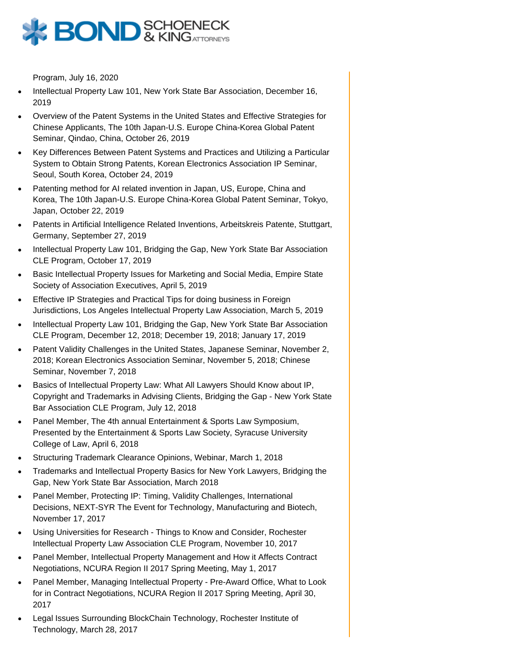

Program, July 16, 2020

- Intellectual Property Law 101, New York State Bar Association, December 16, 2019
- Overview of the Patent Systems in the United States and Effective Strategies for Chinese Applicants, The 10th Japan-U.S. Europe China-Korea Global Patent Seminar, Qindao, China, October 26, 2019
- Key Differences Between Patent Systems and Practices and Utilizing a Particular System to Obtain Strong Patents, Korean Electronics Association IP Seminar, Seoul, South Korea, October 24, 2019
- Patenting method for AI related invention in Japan, US, Europe, China and Korea, The 10th Japan-U.S. Europe China-Korea Global Patent Seminar, Tokyo, Japan, October 22, 2019
- Patents in Artificial Intelligence Related Inventions, Arbeitskreis Patente, Stuttgart, Germany, September 27, 2019
- Intellectual Property Law 101, Bridging the Gap, New York State Bar Association CLE Program, October 17, 2019
- Basic Intellectual Property Issues for Marketing and Social Media, Empire State Society of Association Executives, April 5, 2019
- Effective IP Strategies and Practical Tips for doing business in Foreign Jurisdictions, Los Angeles Intellectual Property Law Association, March 5, 2019
- Intellectual Property Law 101, Bridging the Gap, New York State Bar Association CLE Program, December 12, 2018; December 19, 2018; January 17, 2019
- Patent Validity Challenges in the United States, Japanese Seminar, November 2, 2018; Korean Electronics Association Seminar, November 5, 2018; Chinese Seminar, November 7, 2018
- Basics of Intellectual Property Law: What All Lawyers Should Know about IP, Copyright and Trademarks in Advising Clients, Bridging the Gap - New York State Bar Association CLE Program, July 12, 2018
- Panel Member, The 4th annual Entertainment & Sports Law Symposium, Presented by the Entertainment & Sports Law Society, Syracuse University College of Law, April 6, 2018
- Structuring Trademark Clearance Opinions, Webinar, March 1, 2018
- Trademarks and Intellectual Property Basics for New York Lawyers, Bridging the Gap, New York State Bar Association, March 2018
- Panel Member, Protecting IP: Timing, Validity Challenges, International Decisions, NEXT-SYR The Event for Technology, Manufacturing and Biotech, November 17, 2017
- Using Universities for Research Things to Know and Consider, Rochester Intellectual Property Law Association CLE Program, November 10, 2017
- Panel Member, Intellectual Property Management and How it Affects Contract Negotiations, NCURA Region II 2017 Spring Meeting, May 1, 2017
- Panel Member, Managing Intellectual Property Pre-Award Office, What to Look for in Contract Negotiations, NCURA Region II 2017 Spring Meeting, April 30, 2017
- Legal Issues Surrounding BlockChain Technology, Rochester Institute of Technology, March 28, 2017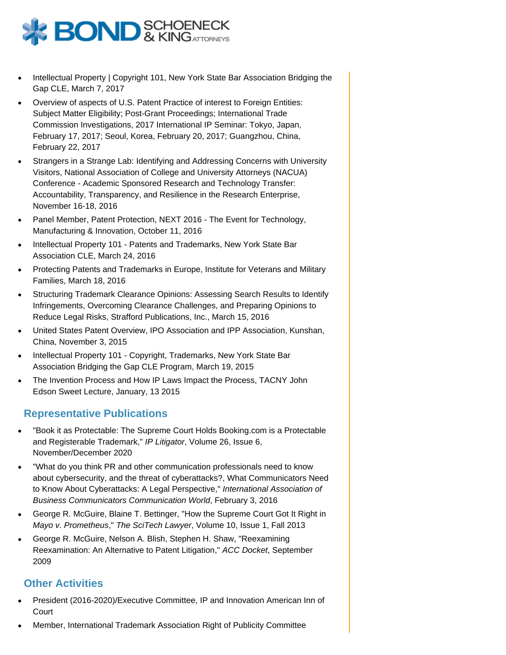

- Intellectual Property | Copyright 101, New York State Bar Association Bridging the Gap CLE, March 7, 2017
- Overview of aspects of U.S. Patent Practice of interest to Foreign Entities: Subject Matter Eligibility; Post-Grant Proceedings; International Trade Commission Investigations, 2017 International IP Seminar: Tokyo, Japan, February 17, 2017; Seoul, Korea, February 20, 2017; Guangzhou, China, February 22, 2017
- Strangers in a Strange Lab: Identifying and Addressing Concerns with University Visitors, National Association of College and University Attorneys (NACUA) Conference - Academic Sponsored Research and Technology Transfer: Accountability, Transparency, and Resilience in the Research Enterprise, November 16-18, 2016
- Panel Member, Patent Protection, NEXT 2016 The Event for Technology, Manufacturing & Innovation, October 11, 2016
- Intellectual Property 101 Patents and Trademarks, New York State Bar Association CLE, March 24, 2016
- Protecting Patents and Trademarks in Europe, Institute for Veterans and Military Families, March 18, 2016
- Structuring Trademark Clearance Opinions: Assessing Search Results to Identify Infringements, Overcoming Clearance Challenges, and Preparing Opinions to Reduce Legal Risks, Strafford Publications, Inc., March 15, 2016
- United States Patent Overview, IPO Association and IPP Association, Kunshan, China, November 3, 2015
- Intellectual Property 101 Copyright, Trademarks, New York State Bar Association Bridging the Gap CLE Program, March 19, 2015
- The Invention Process and How IP Laws Impact the Process, TACNY John Edson Sweet Lecture, January, 13 2015

#### **Representative Publications**

- "Book it as Protectable: The Supreme Court Holds Booking.com is a Protectable and Registerable Trademark," IP Litigator, Volume 26, Issue 6, November/December 2020
- "What do you think PR and other communication professionals need to know about cybersecurity, and the threat of cyberattacks?, What Communicators Need to Know About Cyberattacks: A Legal Perspective," International Association of Business Communicators Communication World, February 3, 2016
- George R. McGuire, Blaine T. Bettinger, "How the Supreme Court Got It Right in Mayo v. Prometheus," The SciTech Lawyer, Volume 10, Issue 1, Fall 2013
- George R. McGuire, Nelson A. Blish, Stephen H. Shaw, "Reexamining Reexamination: An Alternative to Patent Litigation," ACC Docket, September 2009

#### **Other Activities**

- President (2016-2020)/Executive Committee, IP and Innovation American Inn of **Court**
- Member, International Trademark Association Right of Publicity Committee